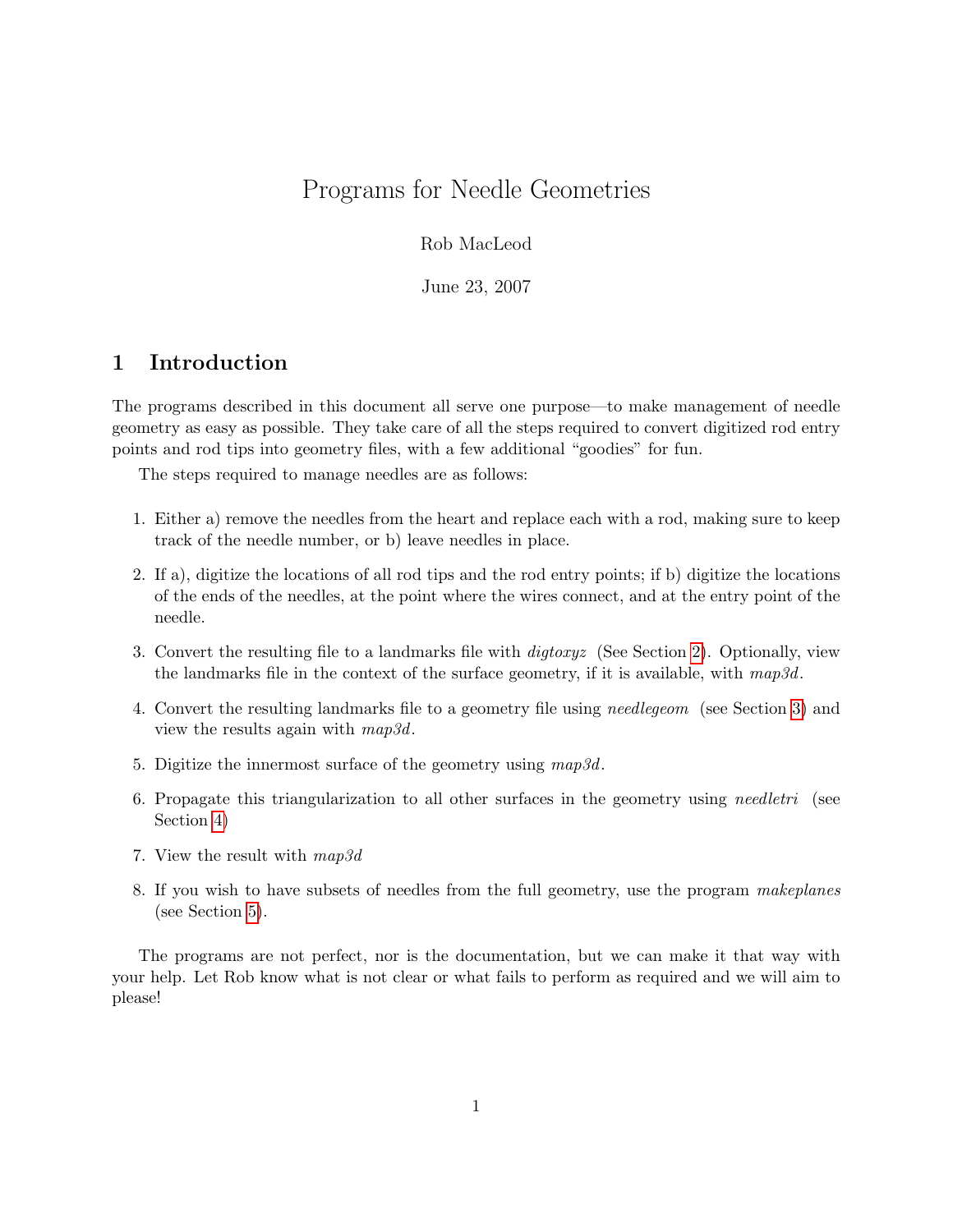# Programs for Needle Geometries

Rob MacLeod

June 23, 2007

## 1 Introduction

The programs described in this document all serve one purpose—to make management of needle geometry as easy as possible. They take care of all the steps required to convert digitized rod entry points and rod tips into geometry files, with a few additional "goodies" for fun.

The steps required to manage needles are as follows:

- 1. Either a) remove the needles from the heart and replace each with a rod, making sure to keep track of the needle number, or b) leave needles in place.
- 2. If a), digitize the locations of all rod tips and the rod entry points; if b) digitize the locations of the ends of the needles, at the point where the wires connect, and at the entry point of the needle.
- 3. Convert the resulting file to a landmarks file with digtoxyz (See Section [2\)](#page-1-0). Optionally, view the landmarks file in the context of the surface geometry, if it is available, with  $map3d$ .
- 4. Convert the resulting landmarks file to a geometry file using needlegeom (see Section [3\)](#page-9-0) and view the results again with map3d.
- 5. Digitize the innermost surface of the geometry using map3d.
- 6. Propagate this triangularization to all other surfaces in the geometry using needletri (see Section [4\)](#page-14-0)
- 7. View the result with map3d
- 8. If you wish to have subsets of needles from the full geometry, use the program makeplanes (see Section [5\)](#page-14-1).

The programs are not perfect, nor is the documentation, but we can make it that way with your help. Let Rob know what is not clear or what fails to perform as required and we will aim to please!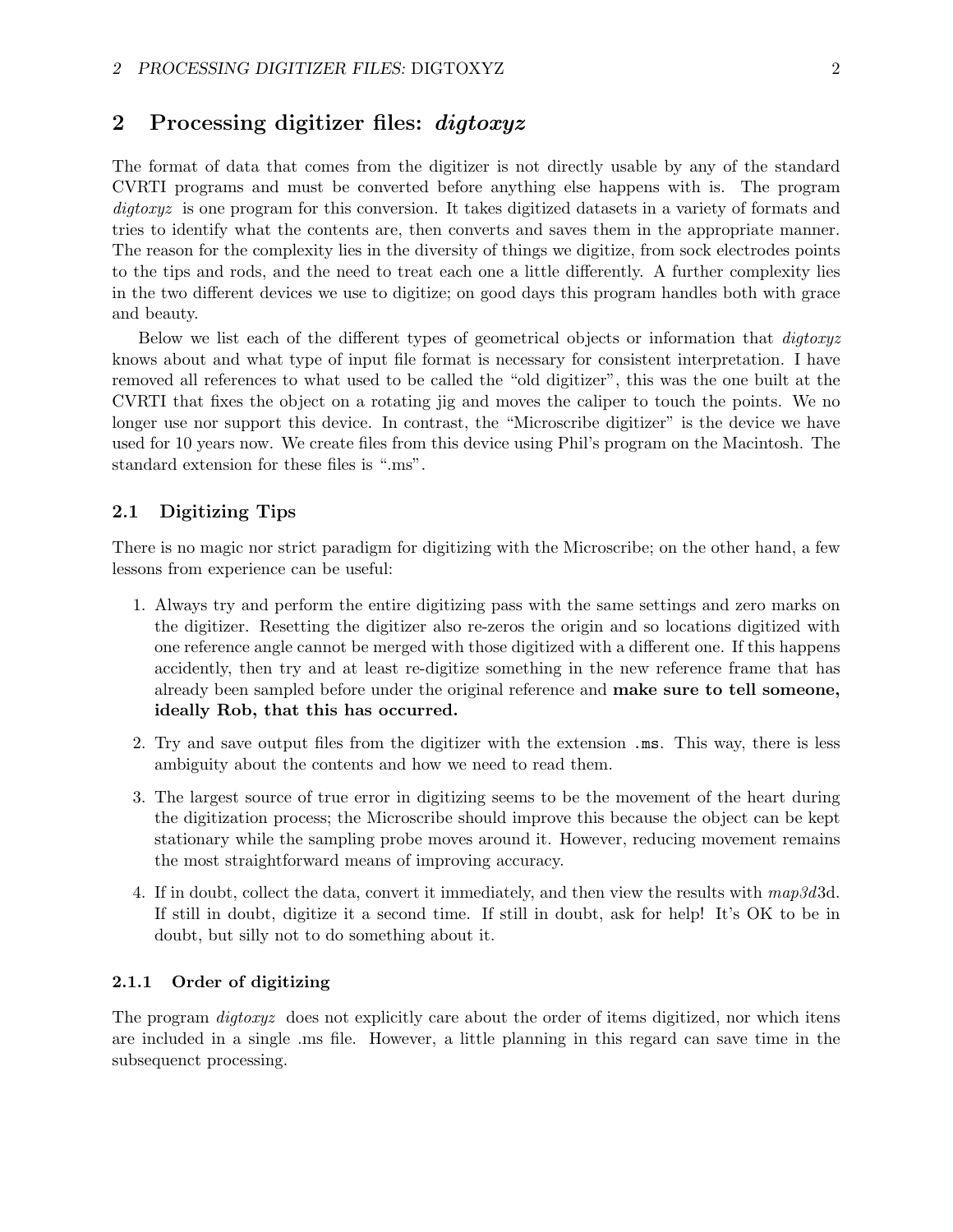## <span id="page-1-0"></span>2 Processing digitizer files: *digtoxyz*

The format of data that comes from the digitizer is not directly usable by any of the standard CVRTI programs and must be converted before anything else happens with is. The program digtoxyz is one program for this conversion. It takes digitized datasets in a variety of formats and tries to identify what the contents are, then converts and saves them in the appropriate manner. The reason for the complexity lies in the diversity of things we digitize, from sock electrodes points to the tips and rods, and the need to treat each one a little differently. A further complexity lies in the two different devices we use to digitize; on good days this program handles both with grace and beauty.

Below we list each of the different types of geometrical objects or information that *digtoxyz* knows about and what type of input file format is necessary for consistent interpretation. I have removed all references to what used to be called the "old digitizer", this was the one built at the CVRTI that fixes the object on a rotating jig and moves the caliper to touch the points. We no longer use nor support this device. In contrast, the "Microscribe digitizer" is the device we have used for 10 years now. We create files from this device using Phil's program on the Macintosh. The standard extension for these files is ".ms".

## 2.1 Digitizing Tips

There is no magic nor strict paradigm for digitizing with the Microscribe; on the other hand, a few lessons from experience can be useful:

- 1. Always try and perform the entire digitizing pass with the same settings and zero marks on the digitizer. Resetting the digitizer also re-zeros the origin and so locations digitized with one reference angle cannot be merged with those digitized with a different one. If this happens accidently, then try and at least re-digitize something in the new reference frame that has already been sampled before under the original reference and make sure to tell someone, ideally Rob, that this has occurred.
- 2. Try and save output files from the digitizer with the extension .ms. This way, there is less ambiguity about the contents and how we need to read them.
- 3. The largest source of true error in digitizing seems to be the movement of the heart during the digitization process; the Microscribe should improve this because the object can be kept stationary while the sampling probe moves around it. However, reducing movement remains the most straightforward means of improving accuracy.
- 4. If in doubt, collect the data, convert it immediately, and then view the results with  $map3d3d$ . If still in doubt, digitize it a second time. If still in doubt, ask for help! It's OK to be in doubt, but silly not to do something about it.

### 2.1.1 Order of digitizing

The program *digtoxyz* does not explicitly care about the order of items digitized, nor which itens are included in a single .ms file. However, a little planning in this regard can save time in the subsequenct processing.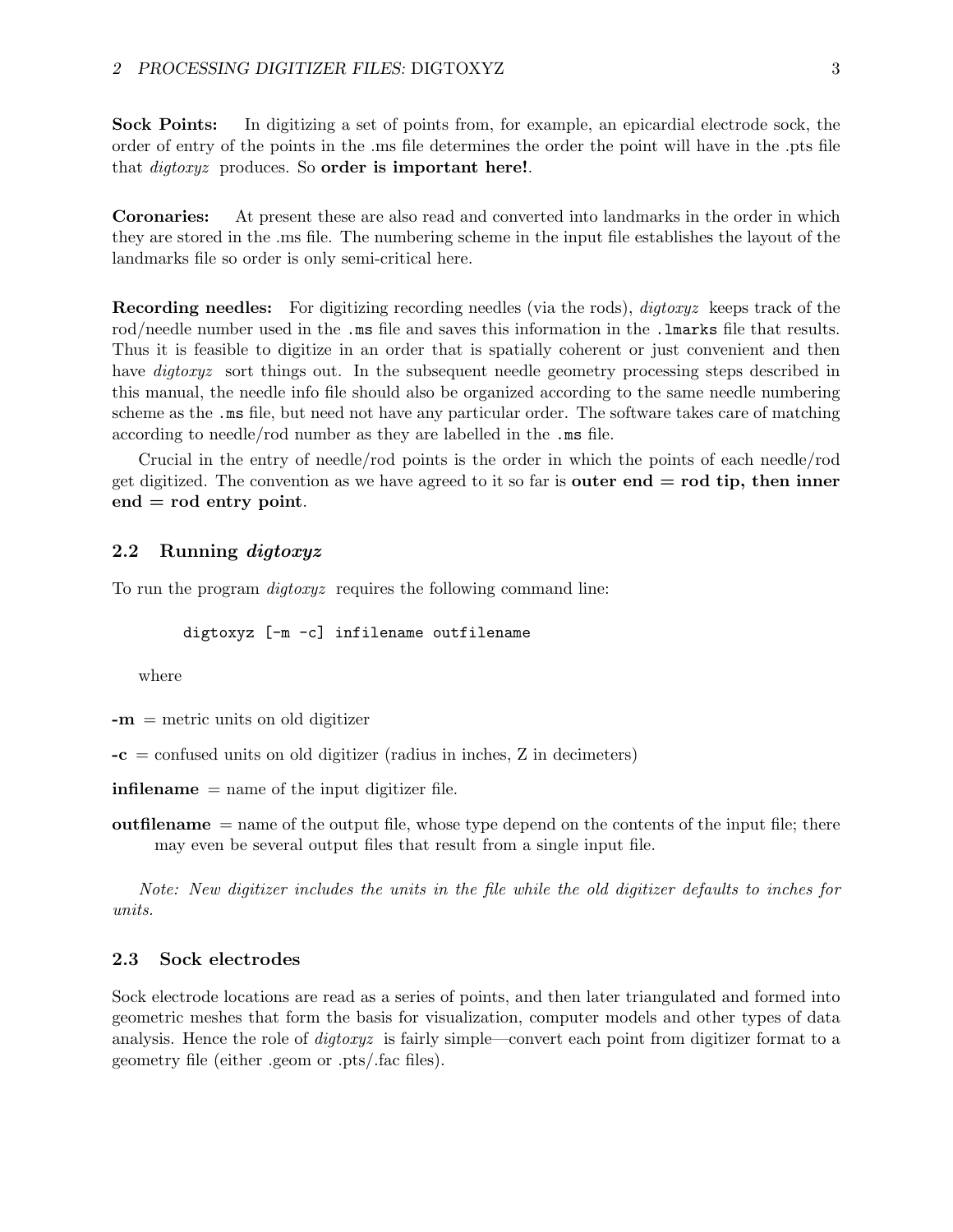Sock Points: In digitizing a set of points from, for example, an epicardial electrode sock, the order of entry of the points in the .ms file determines the order the point will have in the .pts file that *digtoxyz* produces. So **order is important here!**.

Coronaries: At present these are also read and converted into landmarks in the order in which they are stored in the .ms file. The numbering scheme in the input file establishes the layout of the landmarks file so order is only semi-critical here.

Recording needles: For digitizing recording needles (via the rods), digtoxyz keeps track of the rod/needle number used in the .ms file and saves this information in the .lmarks file that results. Thus it is feasible to digitize in an order that is spatially coherent or just convenient and then have *digtoxyz* sort things out. In the subsequent needle geometry processing steps described in this manual, the needle info file should also be organized according to the same needle numbering scheme as the .ms file, but need not have any particular order. The software takes care of matching according to needle/rod number as they are labelled in the .ms file.

Crucial in the entry of needle/rod points is the order in which the points of each needle/rod get digitized. The convention as we have agreed to it so far is **outer end**  $=$  **rod tip, then inner** end = rod entry point.

### 2.2 Running digtoxyz

To run the program *digtoxyz* requires the following command line:

digtoxyz [-m -c] infilename outfilename

where

 $-m =$  metric units on old digitizer

 $-c =$  confused units on old digitizer (radius in inches, Z in decimeters)

**infilename**  $=$  name of the input digitizer file.

**outfilename**  $=$  name of the output file, whose type depend on the contents of the input file; there may even be several output files that result from a single input file.

Note: New digitizer includes the units in the file while the old digitizer defaults to inches for units.

## 2.3 Sock electrodes

Sock electrode locations are read as a series of points, and then later triangulated and formed into geometric meshes that form the basis for visualization, computer models and other types of data analysis. Hence the role of  $diqtoxyz$  is fairly simple—convert each point from digitizer format to a geometry file (either .geom or .pts/.fac files).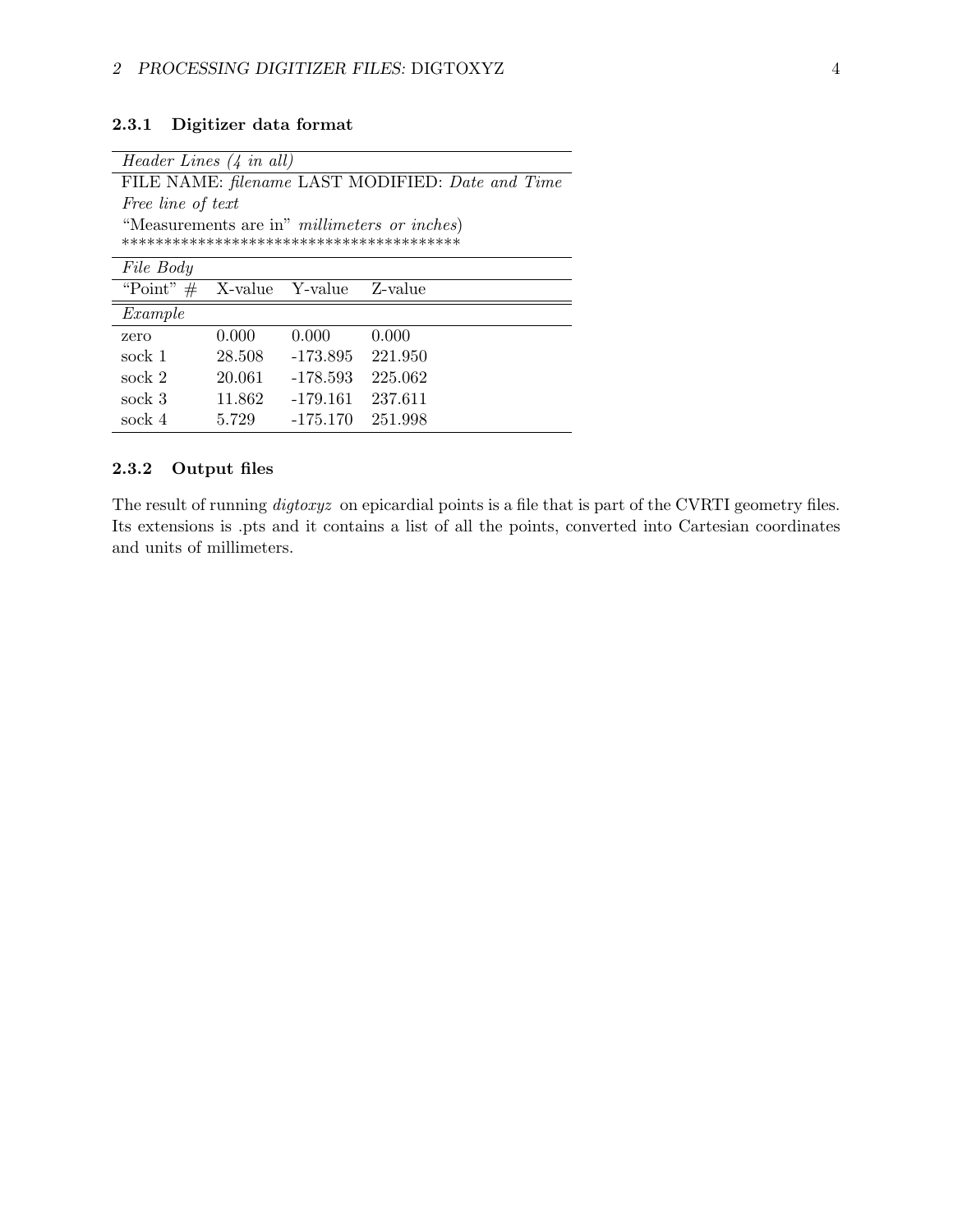## 2.3.1 Digitizer data format

| <i>Header Lines</i> $(4 \text{ in all})$         |                                                      |                 |         |  |  |
|--------------------------------------------------|------------------------------------------------------|-----------------|---------|--|--|
| FILE NAME: filename LAST MODIFIED: Date and Time |                                                      |                 |         |  |  |
| Free line of text                                |                                                      |                 |         |  |  |
|                                                  | "Measurements are in" <i>millimeters or inches</i> ) |                 |         |  |  |
|                                                  |                                                      |                 |         |  |  |
| File Body                                        |                                                      |                 |         |  |  |
| "Point"<br>#                                     |                                                      | X-value Y-value | Z-value |  |  |
| Example                                          |                                                      |                 |         |  |  |
| zero                                             | 0.000                                                | 0.000           | 0.000   |  |  |
| sock 1                                           | 28.508                                               | -173.895        | 221.950 |  |  |
| sock 2                                           | 20.061                                               | $-178.593$      | 225.062 |  |  |
| sock 3                                           | 11.862                                               | $-179.161$      | 237.611 |  |  |
| sock 4                                           | 5.729                                                | $-175.170$      | 251.998 |  |  |

## 2.3.2 Output files

The result of running  $\frac{digtoxyz}{}$  on epicardial points is a file that is part of the CVRTI geometry files. Its extensions is .pts and it contains a list of all the points, converted into Cartesian coordinates and units of millimeters.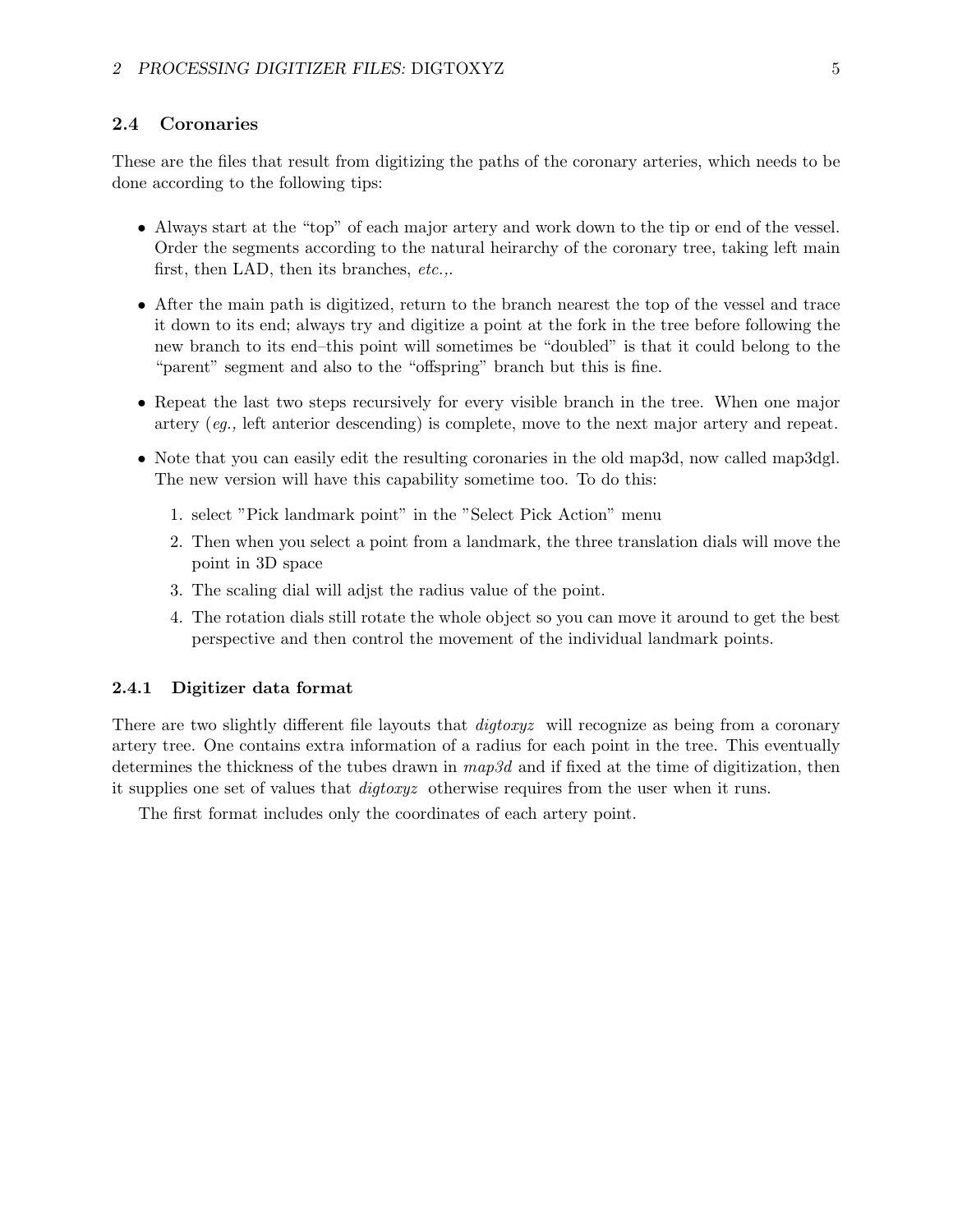### 2.4 Coronaries

These are the files that result from digitizing the paths of the coronary arteries, which needs to be done according to the following tips:

- Always start at the "top" of each major artery and work down to the tip or end of the vessel. Order the segments according to the natural heirarchy of the coronary tree, taking left main first, then LAD, then its branches, etc.,.
- After the main path is digitized, return to the branch nearest the top of the vessel and trace it down to its end; always try and digitize a point at the fork in the tree before following the new branch to its end–this point will sometimes be "doubled" is that it could belong to the "parent" segment and also to the "offspring" branch but this is fine.
- Repeat the last two steps recursively for every visible branch in the tree. When one major artery (eg., left anterior descending) is complete, move to the next major artery and repeat.
- Note that you can easily edit the resulting coronaries in the old map3d, now called map3dgl. The new version will have this capability sometime too. To do this:
	- 1. select "Pick landmark point" in the "Select Pick Action" menu
	- 2. Then when you select a point from a landmark, the three translation dials will move the point in 3D space
	- 3. The scaling dial will adjst the radius value of the point.
	- 4. The rotation dials still rotate the whole object so you can move it around to get the best perspective and then control the movement of the individual landmark points.

#### 2.4.1 Digitizer data format

There are two slightly different file layouts that *digtoxyz* will recognize as being from a coronary artery tree. One contains extra information of a radius for each point in the tree. This eventually determines the thickness of the tubes drawn in  $map3d$  and if fixed at the time of digitization, then it supplies one set of values that digtoxyz otherwise requires from the user when it runs.

The first format includes only the coordinates of each artery point.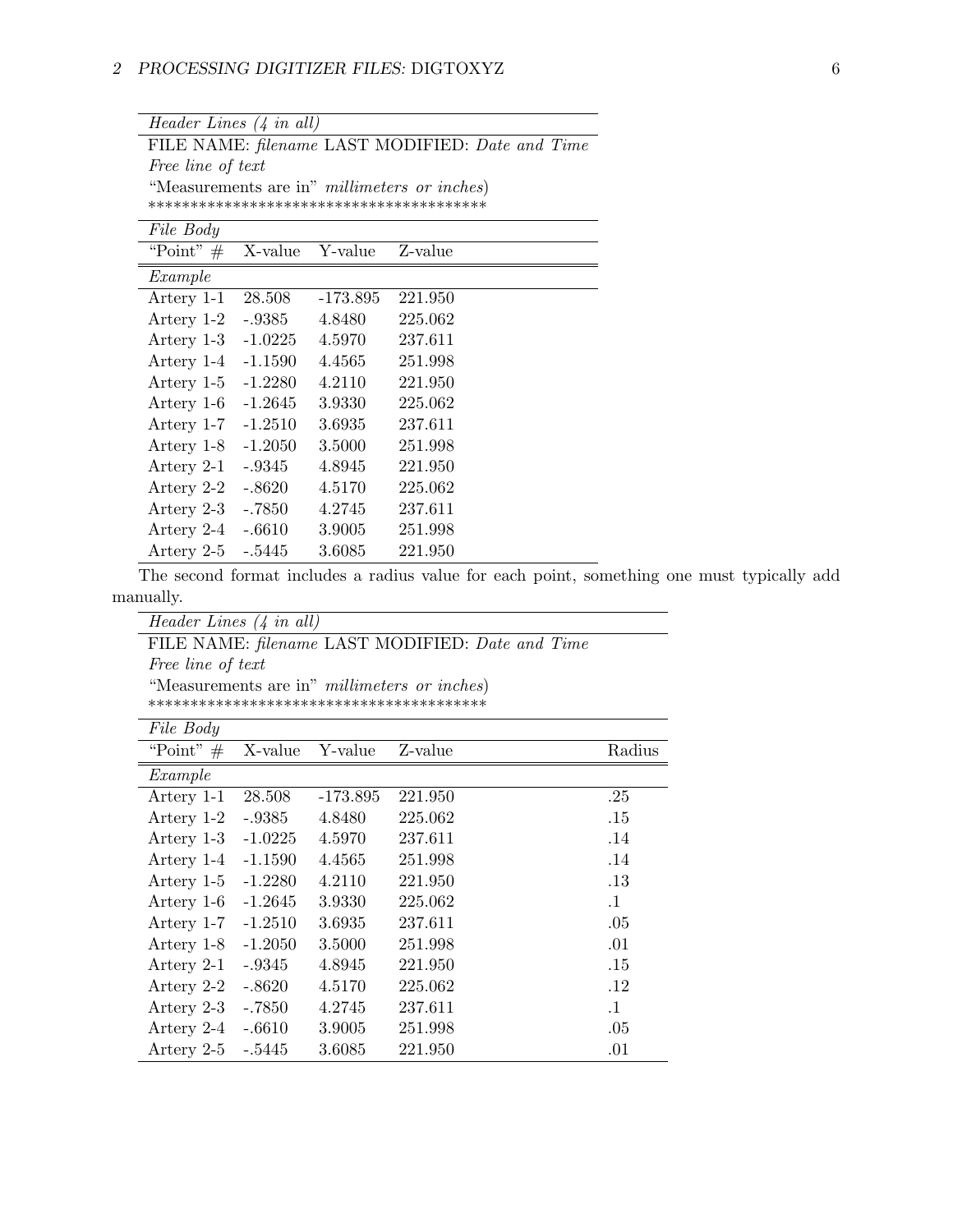| Header Lines $(4 \text{ in all})$                |           |            |                                                      |  |
|--------------------------------------------------|-----------|------------|------------------------------------------------------|--|
| FILE NAME: filename LAST MODIFIED: Date and Time |           |            |                                                      |  |
| Free line of text                                |           |            |                                                      |  |
|                                                  |           |            | "Measurements are in" <i>millimeters or inches</i> ) |  |
|                                                  |           |            |                                                      |  |
| File Body                                        |           |            |                                                      |  |
| "Point" $#$                                      | X-value   | Y-value    | Z-value                                              |  |
| Example                                          |           |            |                                                      |  |
| Artery 1-1 28.508                                |           | $-173.895$ | 221.950                                              |  |
| Artery 1-2                                       | -.9385    | 4.8480     | 225.062                                              |  |
| Artery 1-3 -1.0225                               |           | 4.5970     | 237.611                                              |  |
| Artery 1-4 -1.1590                               |           | 4.4565     | 251.998                                              |  |
| Artery 1-5 -1.2280                               |           | 4.2110     | 221.950                                              |  |
| Artery 1-6 -1.2645                               |           | 3.9330     | 225.062                                              |  |
| Artery 1-7 -1.2510                               |           | 3.6935     | 237.611                                              |  |
| Artery 1-8                                       | $-1.2050$ | 3.5000     | 251.998                                              |  |
| Artery 2-1                                       | -.9345    | 4.8945     | 221.950                                              |  |
| Artery 2-2                                       | $-.8620$  | 4.5170     | 225.062                                              |  |
| Artery 2-3 -.7850                                |           | 4.2745     | 237.611                                              |  |
| Artery 2-4 -.6610                                |           | 3.9005     | 251.998                                              |  |
| Artery 2-5                                       | -.5445    | 3.6085     | 221.950                                              |  |

The second format includes a radius value for each point, something one must typically add manually.

Header Lines (4 in all) FILE NAME: filename LAST MODIFIED: Date and Time Free line of text "Measurements are in" millimeters or inches) \*\*\*\*\*\*\*\*\*\*\*\*\*\*\*\*\*\*\*\*\*\*\*\*\*\*\*\*\*\*\*\*\*\*\*\*\*\*\*\*

| File Body   |           |            |         |           |
|-------------|-----------|------------|---------|-----------|
| "Point" $#$ | X-value   | Y-value    | Z-value | Radius    |
| Example     |           |            |         |           |
| Artery 1-1  | 28.508    | $-173.895$ | 221.950 | .25       |
| Artery 1-2  | -.9385    | 4.8480     | 225.062 | .15       |
| Artery 1-3  | $-1.0225$ | 4.5970     | 237.611 | .14       |
| Artery 1-4  | $-1.1590$ | 4.4565     | 251.998 | .14       |
| Artery 1-5  | $-1.2280$ | 4.2110     | 221.950 | .13       |
| Artery 1-6  | $-1.2645$ | 3.9330     | 225.062 | $\cdot$ 1 |
| Artery 1-7  | $-1.2510$ | 3.6935     | 237.611 | .05       |
| Artery 1-8  | $-1.2050$ | 3.5000     | 251.998 | .01       |
| Artery 2-1  | $-.9345$  | 4.8945     | 221.950 | .15       |
| Artery 2-2  | $-.8620$  | 4.5170     | 225.062 | .12       |
| Artery 2-3  | $-.7850$  | 4.2745     | 237.611 | $\cdot$ 1 |
| Artery 2-4  | $-.6610$  | 3.9005     | 251.998 | .05       |
| Artery 2-5  | $-.5445$  | 3.6085     | 221.950 | .01       |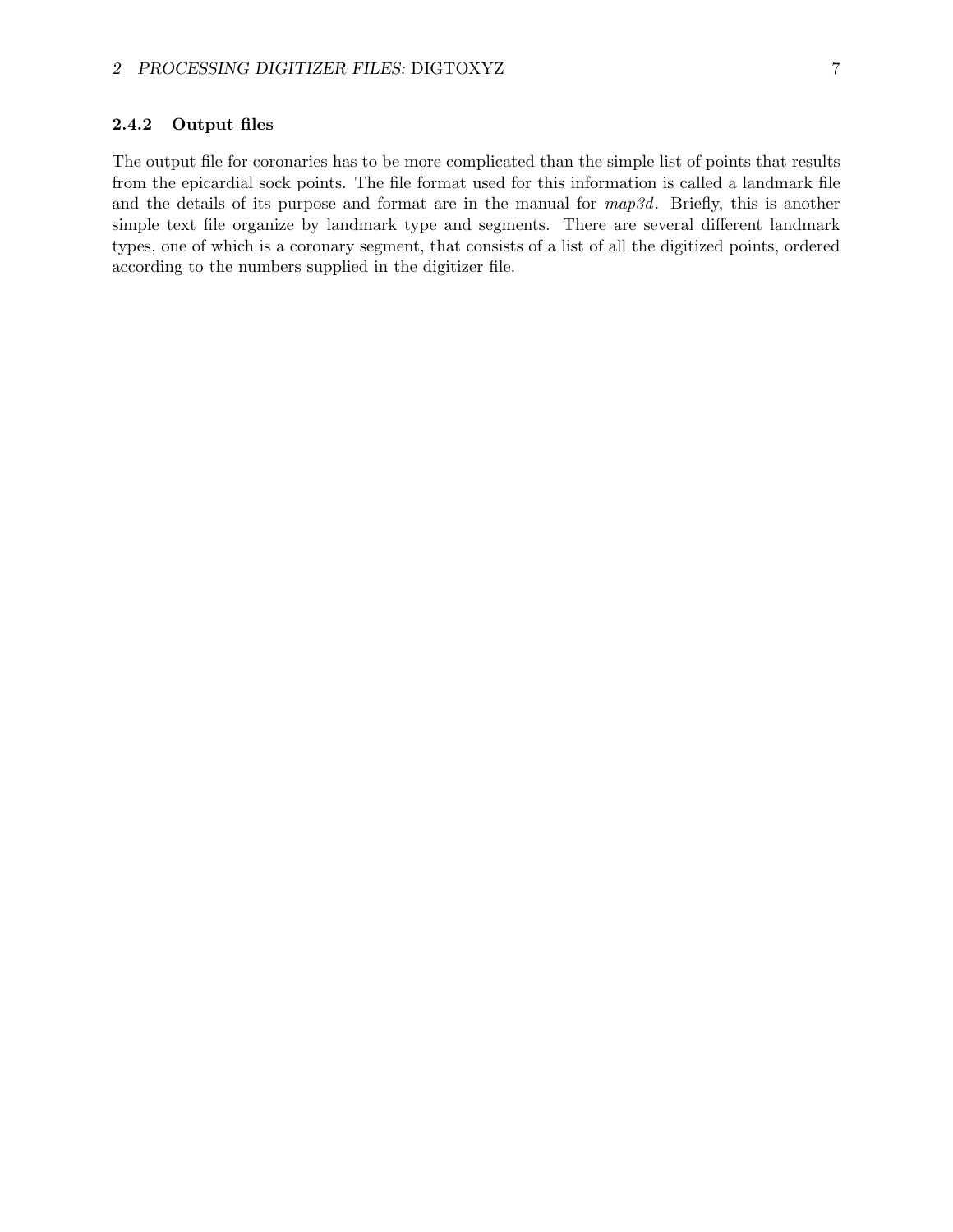## 2.4.2 Output files

The output file for coronaries has to be more complicated than the simple list of points that results from the epicardial sock points. The file format used for this information is called a landmark file and the details of its purpose and format are in the manual for  $map3d$ . Briefly, this is another simple text file organize by landmark type and segments. There are several different landmark types, one of which is a coronary segment, that consists of a list of all the digitized points, ordered according to the numbers supplied in the digitizer file.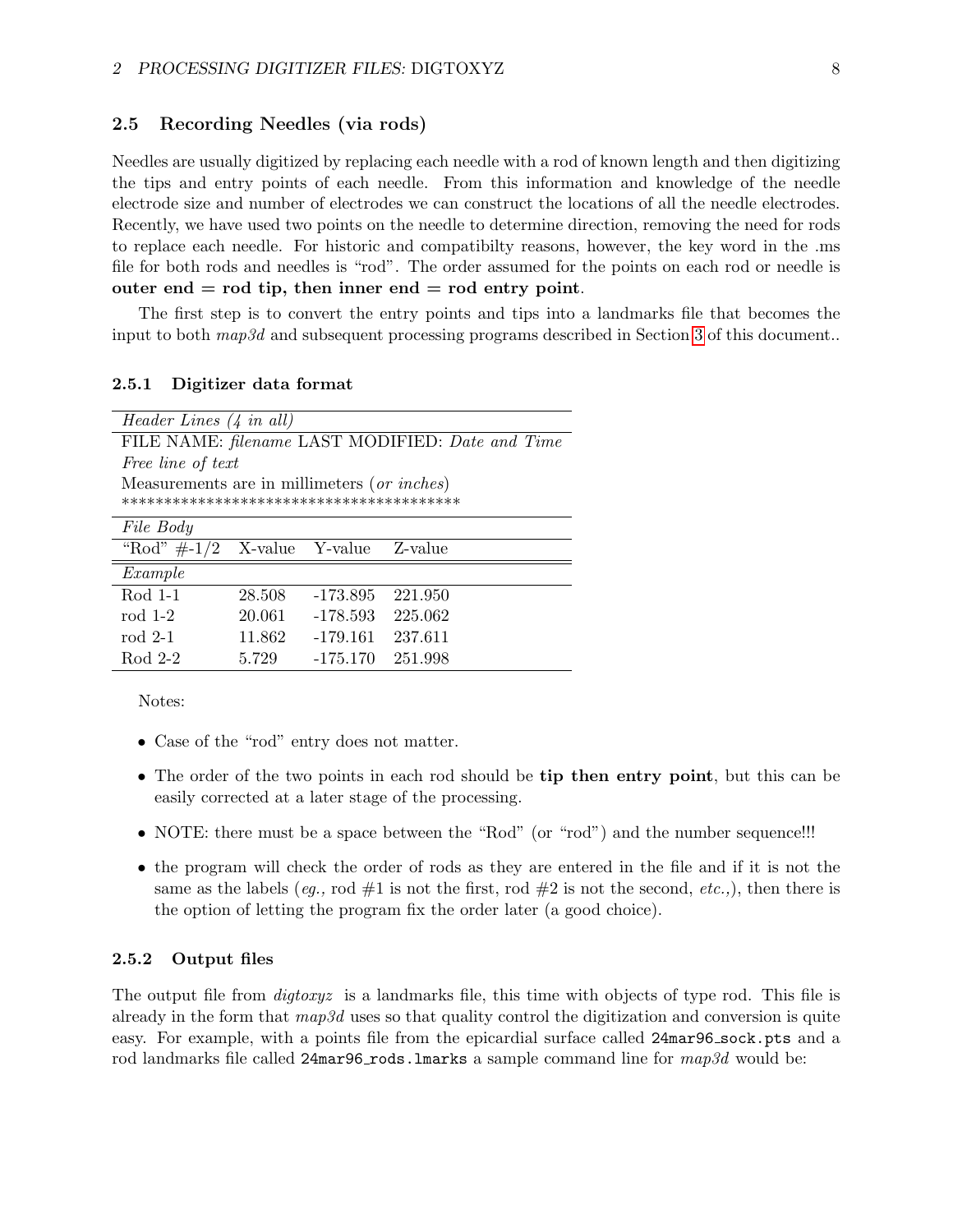#### 2.5 Recording Needles (via rods)

Needles are usually digitized by replacing each needle with a rod of known length and then digitizing the tips and entry points of each needle. From this information and knowledge of the needle electrode size and number of electrodes we can construct the locations of all the needle electrodes. Recently, we have used two points on the needle to determine direction, removing the need for rods to replace each needle. For historic and compatibilty reasons, however, the key word in the .ms file for both rods and needles is "rod". The order assumed for the points on each rod or needle is outer end  $=$  rod tip, then inner end  $=$  rod entry point.

The first step is to convert the entry points and tips into a landmarks file that becomes the input to both map3d and subsequent processing programs described in Section [3](#page-9-0) of this document..

| <i>Header Lines</i> $(4 \text{ in all})$         |                                             |            |         |  |  |
|--------------------------------------------------|---------------------------------------------|------------|---------|--|--|
| FILE NAME: filename LAST MODIFIED: Date and Time |                                             |            |         |  |  |
|                                                  | Free line of text                           |            |         |  |  |
|                                                  | Measurements are in millimeters (or inches) |            |         |  |  |
|                                                  |                                             |            |         |  |  |
| File Body                                        |                                             |            |         |  |  |
| "Rod" $\#$ -1/2 X-value Y-value Z-value          |                                             |            |         |  |  |
| Example                                          |                                             |            |         |  |  |
| Rod 1-1                                          | 28.508                                      | $-173.895$ | 221.950 |  |  |
| rod 1-2                                          | 20.061                                      | $-178.593$ | 225.062 |  |  |
| rod $2-1$                                        | 11.862                                      | $-179.161$ | 237.611 |  |  |
| Rod 2-2                                          | 5.729                                       | $-175.170$ | 251.998 |  |  |

#### 2.5.1 Digitizer data format

Notes:

- Case of the "rod" entry does not matter.
- The order of the two points in each rod should be **tip then entry point**, but this can be easily corrected at a later stage of the processing.
- NOTE: there must be a space between the "Rod" (or "rod") and the number sequence!!!
- the program will check the order of rods as they are entered in the file and if it is not the same as the labels (eq., rod  $\#1$  is not the first, rod  $\#2$  is not the second, etc.,), then there is the option of letting the program fix the order later (a good choice).

#### 2.5.2 Output files

The output file from *digtoxyz* is a landmarks file, this time with objects of type rod. This file is already in the form that  $map3d$  uses so that quality control the digitization and conversion is quite easy. For example, with a points file from the epicardial surface called 24mar96\_sock.pts and a rod landmarks file called 24mar96\_rods.lmarks a sample command line for  $map3d$  would be: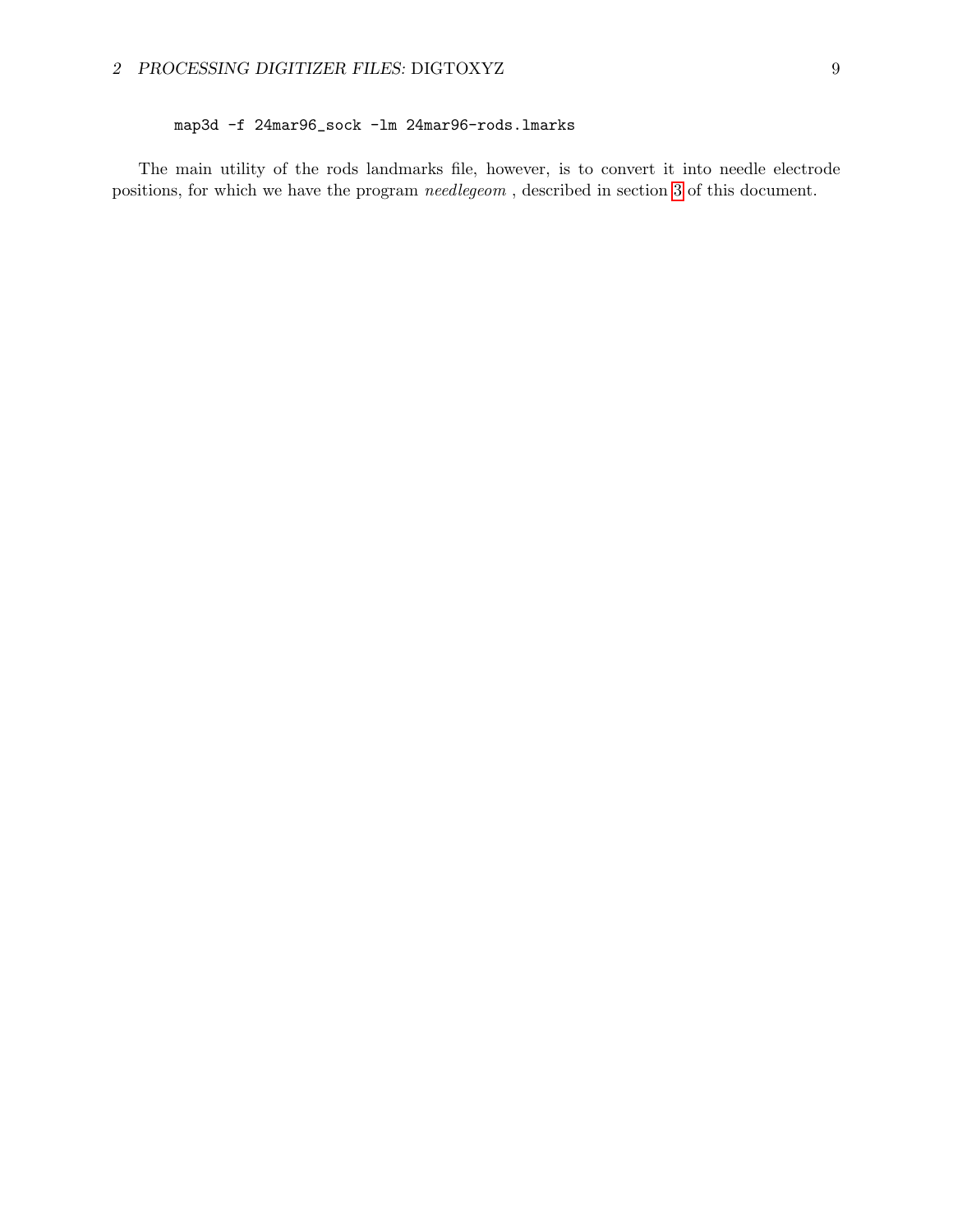## map3d -f 24mar96\_sock -lm 24mar96-rods.lmarks

The main utility of the rods landmarks file, however, is to convert it into needle electrode positions, for which we have the program needlegeom , described in section [3](#page-9-0) of this document.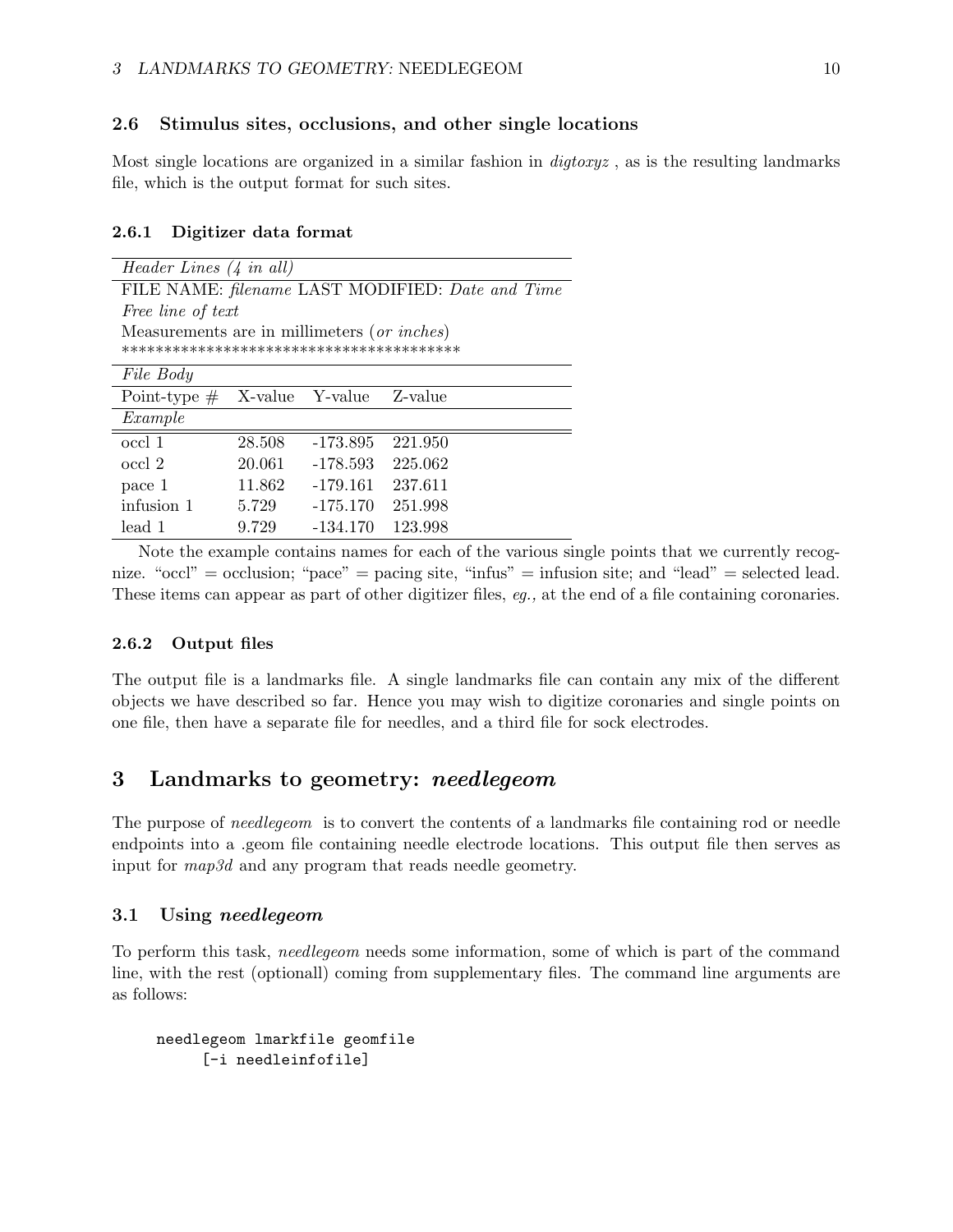## 2.6 Stimulus sites, occlusions, and other single locations

Most single locations are organized in a similar fashion in *digtoxyz*, as is the resulting landmarks file, which is the output format for such sites.

#### 2.6.1 Digitizer data format

| <i>Header Lines</i> $(4 \text{ in all})$         |        |            |         |  |
|--------------------------------------------------|--------|------------|---------|--|
| FILE NAME: filename LAST MODIFIED: Date and Time |        |            |         |  |
| Free line of text                                |        |            |         |  |
| Measurements are in millimeters (or inches)      |        |            |         |  |
|                                                  |        |            |         |  |
| File Body                                        |        |            |         |  |
| Point-type $\#$ X-value Y-value Z-value          |        |            |         |  |
| Example                                          |        |            |         |  |
| occl 1                                           | 28.508 | $-173.895$ | 221.950 |  |
| occl 2                                           | 20.061 | -178.593   | 225.062 |  |
| pace 1                                           | 11.862 | $-179.161$ | 237.611 |  |
| infusion 1                                       | 5.729  | $-175.170$ | 251.998 |  |
| lead 1                                           | 9.729  | $-134.170$ | 123.998 |  |

Note the example contains names for each of the various single points that we currently recognize. "occl" = occlusion; "pace" = pacing site, "infus" = infusion site; and "lead" = selected lead. These items can appear as part of other digitizer files, eg., at the end of a file containing coronaries.

### 2.6.2 Output files

The output file is a landmarks file. A single landmarks file can contain any mix of the different objects we have described so far. Hence you may wish to digitize coronaries and single points on one file, then have a separate file for needles, and a third file for sock electrodes.

## <span id="page-9-0"></span>3 Landmarks to geometry: needlegeom

The purpose of *needlegeom* is to convert the contents of a landmarks file containing rod or needle endpoints into a .geom file containing needle electrode locations. This output file then serves as input for map3d and any program that reads needle geometry.

## 3.1 Using needlegeom

To perform this task, needlegeom needs some information, some of which is part of the command line, with the rest (optionall) coming from supplementary files. The command line arguments are as follows:

```
needlegeom lmarkfile geomfile
     [-i needleinfofile]
```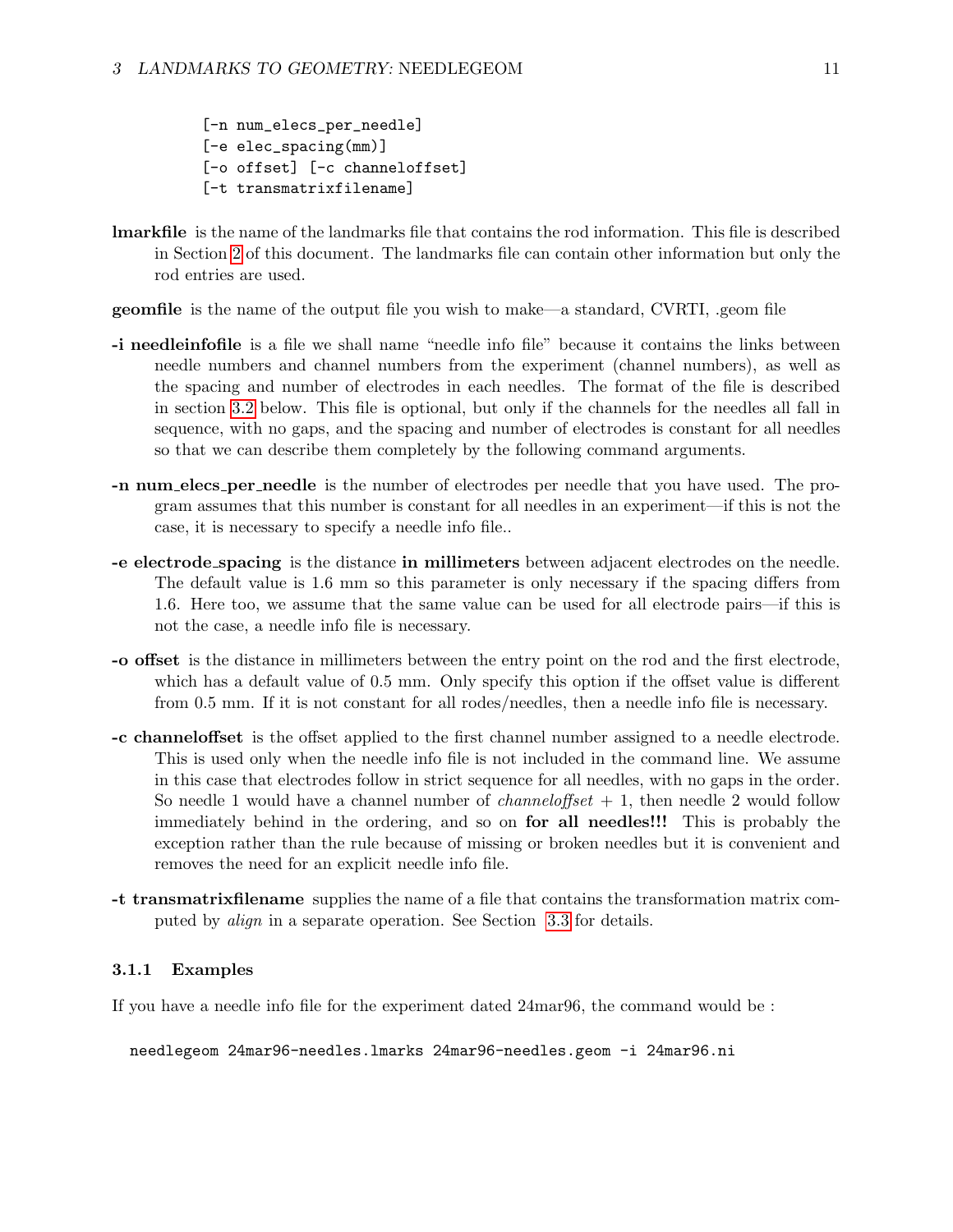[-n num\_elecs\_per\_needle] [-e elec\_spacing(mm)] [-o offset] [-c channeloffset] [-t transmatrixfilename]

- lmarkfile is the name of the landmarks file that contains the rod information. This file is described in Section [2](#page-1-0) of this document. The landmarks file can contain other information but only the rod entries are used.
- geomfile is the name of the output file you wish to make—a standard, CVRTI, .geom file
- -i needleinfofile is a file we shall name "needle info file" because it contains the links between needle numbers and channel numbers from the experiment (channel numbers), as well as the spacing and number of electrodes in each needles. The format of the file is described in section [3.2](#page-11-0) below. This file is optional, but only if the channels for the needles all fall in sequence, with no gaps, and the spacing and number of electrodes is constant for all needles so that we can describe them completely by the following command arguments.
- -n num elecs per needle is the number of electrodes per needle that you have used. The program assumes that this number is constant for all needles in an experiment—if this is not the case, it is necessary to specify a needle info file..
- -e electrode spacing is the distance in millimeters between adjacent electrodes on the needle. The default value is 1.6 mm so this parameter is only necessary if the spacing differs from 1.6. Here too, we assume that the same value can be used for all electrode pairs—if this is not the case, a needle info file is necessary.
- -o offset is the distance in millimeters between the entry point on the rod and the first electrode, which has a default value of 0.5 mm. Only specify this option if the offset value is different from 0.5 mm. If it is not constant for all rodes/needles, then a needle info file is necessary.
- -c channeloffset is the offset applied to the first channel number assigned to a needle electrode. This is used only when the needle info file is not included in the command line. We assume in this case that electrodes follow in strict sequence for all needles, with no gaps in the order. So needle 1 would have a channel number of *channeloffset*  $+1$ , then needle 2 would follow immediately behind in the ordering, and so on for all needles!!! This is probably the exception rather than the rule because of missing or broken needles but it is convenient and removes the need for an explicit needle info file.
- -t transmatrixfilename supplies the name of a file that contains the transformation matrix computed by align in a separate operation. See Section [3.3](#page-13-0) for details.

#### 3.1.1 Examples

If you have a needle info file for the experiment dated 24mar96, the command would be :

needlegeom 24mar96-needles.lmarks 24mar96-needles.geom -i 24mar96.ni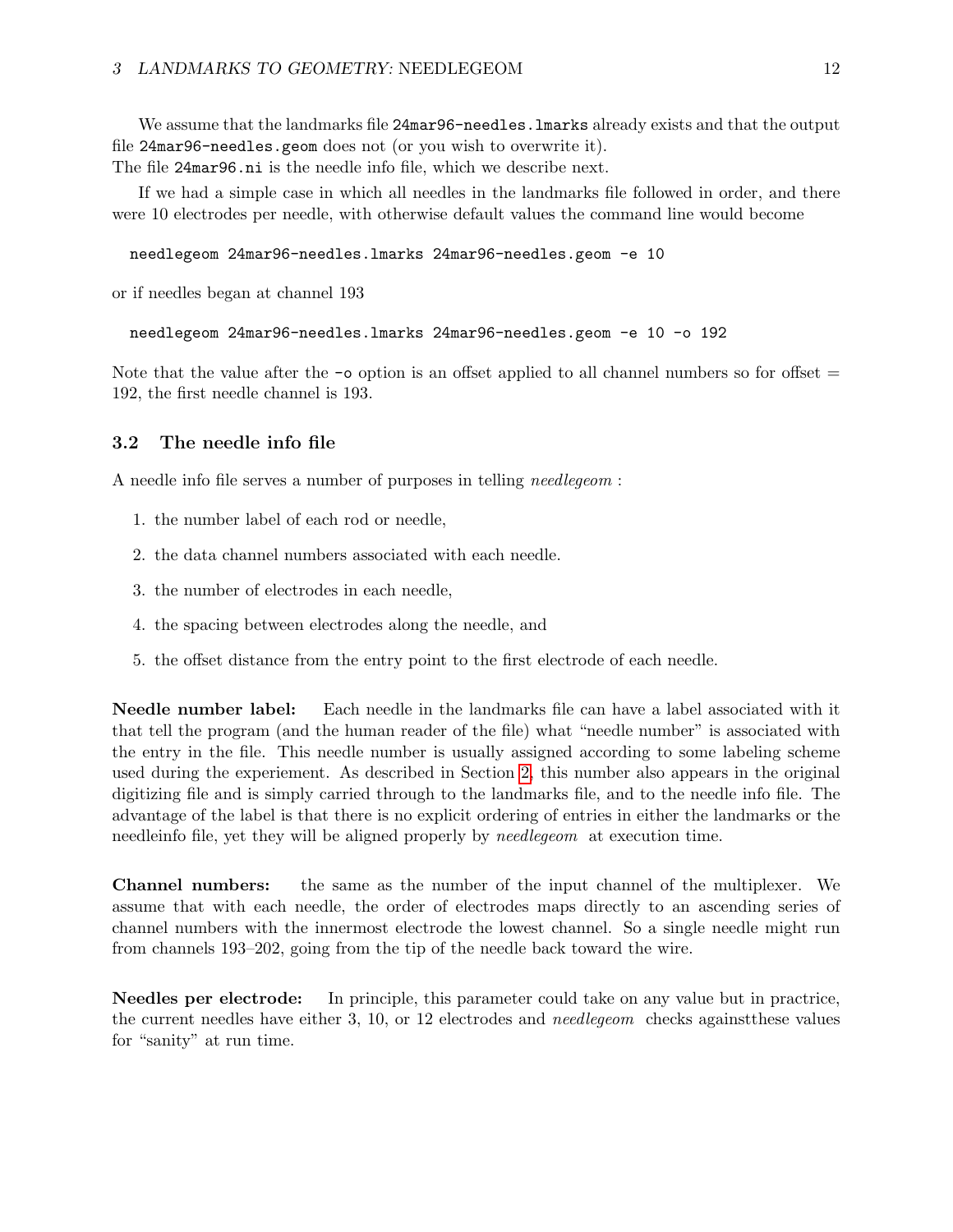We assume that the landmarks file 24mar96-needles. Lmarks already exists and that the output file 24mar96-needles.geom does not (or you wish to overwrite it). The file 24mar96.ni is the needle info file, which we describe next.

If we had a simple case in which all needles in the landmarks file followed in order, and there were 10 electrodes per needle, with otherwise default values the command line would become

#### needlegeom 24mar96-needles.lmarks 24mar96-needles.geom -e 10

or if needles began at channel 193

needlegeom 24mar96-needles.lmarks 24mar96-needles.geom -e 10 -o 192

Note that the value after the  $\sim$  option is an offset applied to all channel numbers so for offset  $=$ 192, the first needle channel is 193.

#### <span id="page-11-0"></span>3.2 The needle info file

A needle info file serves a number of purposes in telling needlegeom :

- 1. the number label of each rod or needle,
- 2. the data channel numbers associated with each needle.
- 3. the number of electrodes in each needle,
- 4. the spacing between electrodes along the needle, and
- 5. the offset distance from the entry point to the first electrode of each needle.

Needle number label: Each needle in the landmarks file can have a label associated with it that tell the program (and the human reader of the file) what "needle number" is associated with the entry in the file. This needle number is usually assigned according to some labeling scheme used during the experiement. As described in Section [2,](#page-1-0) this number also appears in the original digitizing file and is simply carried through to the landmarks file, and to the needle info file. The advantage of the label is that there is no explicit ordering of entries in either the landmarks or the needleinfo file, yet they will be aligned properly by needlegeom at execution time.

Channel numbers: the same as the number of the input channel of the multiplexer. We assume that with each needle, the order of electrodes maps directly to an ascending series of channel numbers with the innermost electrode the lowest channel. So a single needle might run from channels 193–202, going from the tip of the needle back toward the wire.

Needles per electrode: In principle, this parameter could take on any value but in practrice, the current needles have either 3, 10, or 12 electrodes and needlegeom checks againstthese values for "sanity" at run time.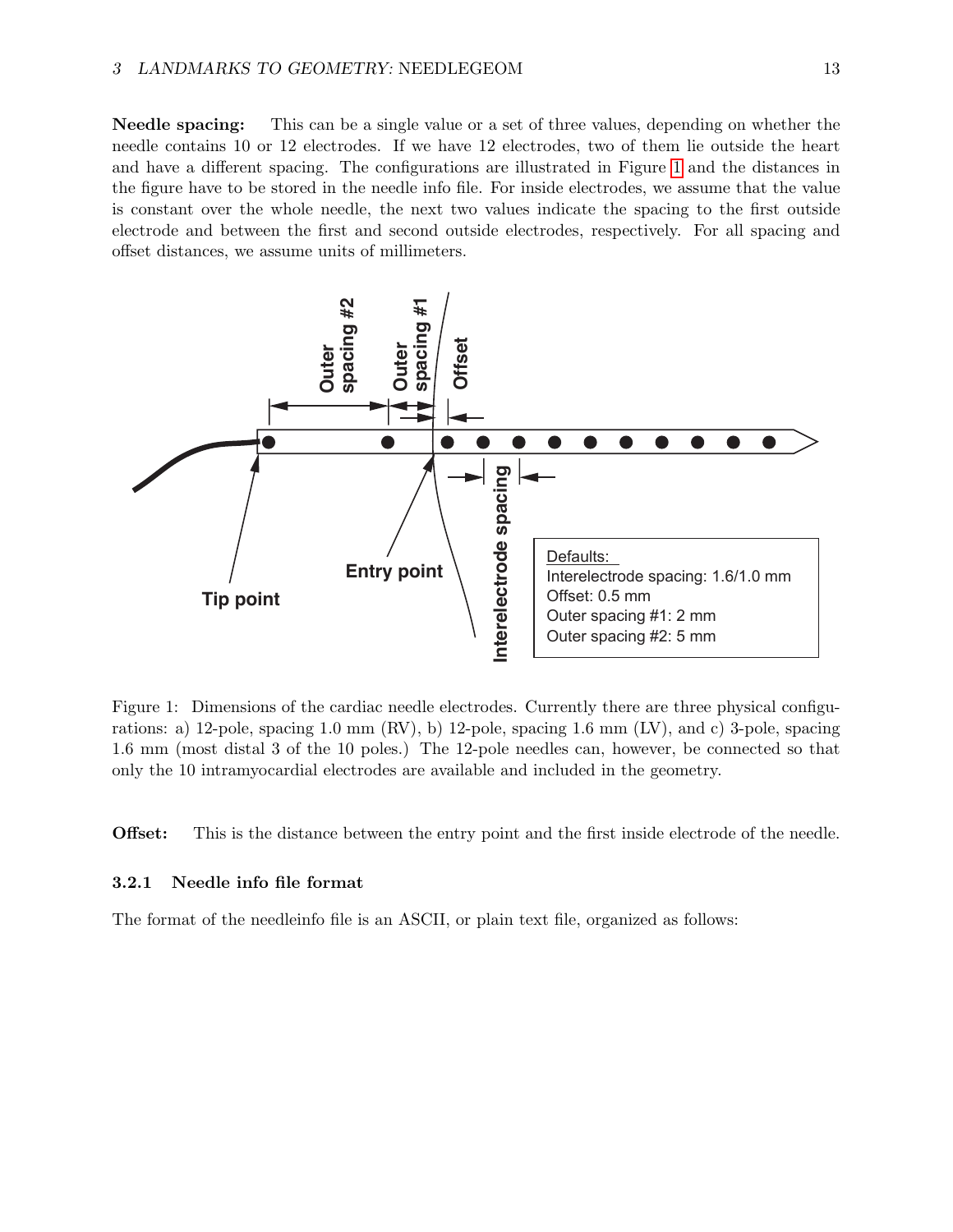Needle spacing: This can be a single value or a set of three values, depending on whether the needle contains 10 or 12 electrodes. If we have 12 electrodes, two of them lie outside the heart and have a different spacing. The configurations are illustrated in Figure [1](#page-12-0) and the distances in the figure have to be stored in the needle info file. For inside electrodes, we assume that the value is constant over the whole needle, the next two values indicate the spacing to the first outside electrode and between the first and second outside electrodes, respectively. For all spacing and offset distances, we assume units of millimeters.



<span id="page-12-0"></span>Figure 1: Dimensions of the cardiac needle electrodes. Currently there are three physical configurations: a) 12-pole, spacing 1.0 mm (RV), b) 12-pole, spacing 1.6 mm (LV), and c) 3-pole, spacing 1.6 mm (most distal 3 of the 10 poles.) The 12-pole needles can, however, be connected so that only the 10 intramyocardial electrodes are available and included in the geometry.

**Offset:** This is the distance between the entry point and the first inside electrode of the needle.

#### 3.2.1 Needle info file format

The format of the needleinfo file is an ASCII, or plain text file, organized as follows: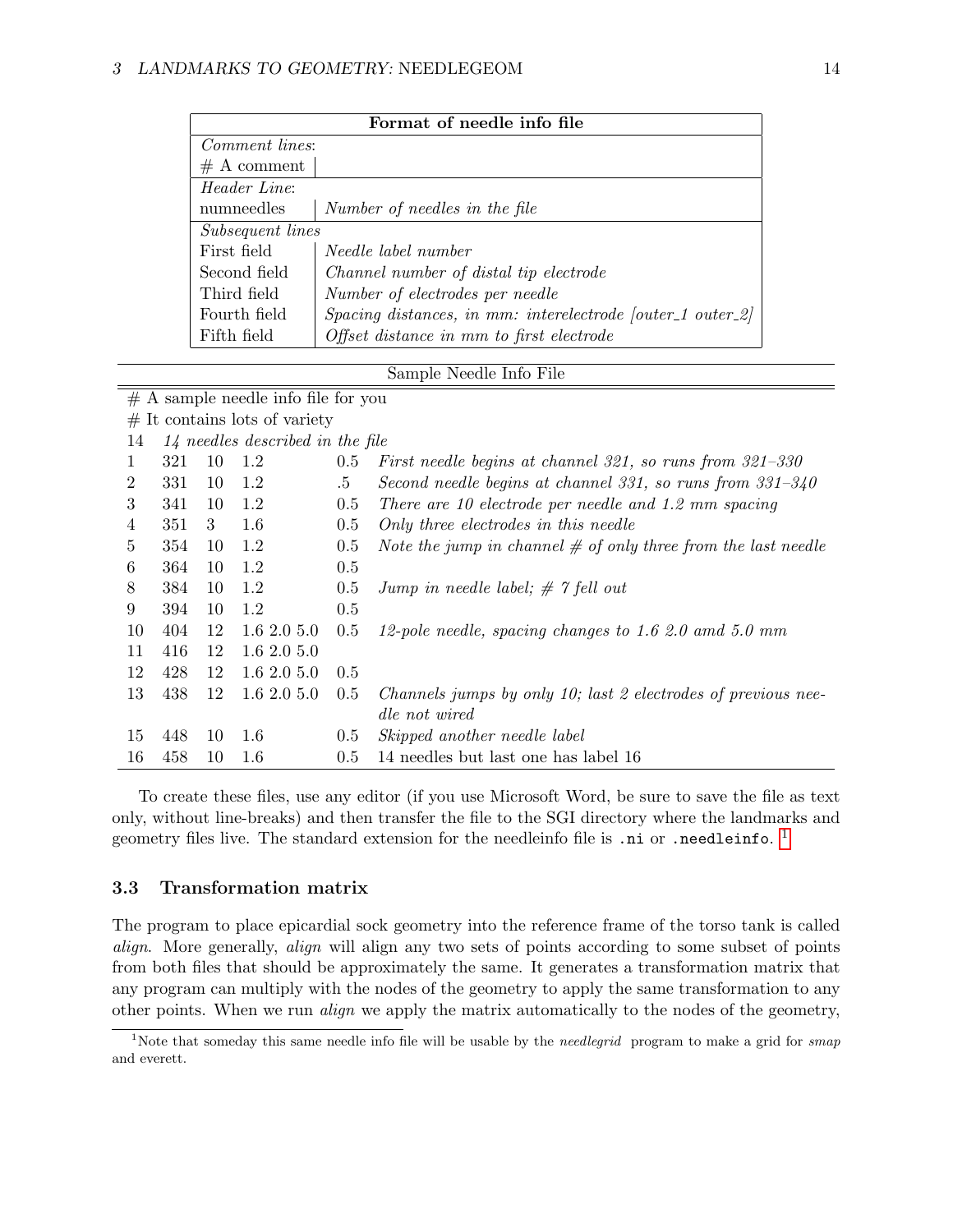| Format of needle info file |                                                                              |  |
|----------------------------|------------------------------------------------------------------------------|--|
| Comment lines:             |                                                                              |  |
| $# A$ comment              |                                                                              |  |
| <i>Header Line:</i>        |                                                                              |  |
| numneedles                 | Number of needles in the file                                                |  |
| Subsequent lines           |                                                                              |  |
| First field                | Needle label number                                                          |  |
| Second field               | Channel number of distal tip electrode                                       |  |
| Third field                | Number of electrodes per needle                                              |  |
| Fourth field               | $Spacing\; distances,\; in\; mm\colon\; interelectrode\;/outer_1\; outer_2)$ |  |
| Fifth field                | Offset distance in mm to first electrode                                     |  |

#### Sample Needle Info File

# A sample needle info file for you  $#$  It contains lots of variety 14 14 needles described in the file 1 321 10 1.2 0.5 First needle begins at channel 321, so runs from 321–330 2  $331$  10  $1.2$  .5 Second needle begins at channel 331, so runs from  $331-340$ 3 341 10 1.2 0.5 There are 10 electrode per needle and 1.2 mm spacing 4 351 3 1.6 0.5 Only three electrodes in this needle 5 354 10 1.2 0.5 Note the jump in channel  $\#$  of only three from the last needle 6 364 10 1.2 0.5 8  $384$  10 1.2 0.5 Jump in needle label; # 7 fell out 9 394 10 1.2 0.5 10 404 12 1.6 2.0 5.0 0.5 12-pole needle, spacing changes to 1.6 2.0 amd 5.0 mm 11 416 12 1.6 2.0 5.0 12 428 12 1.6 2.0 5.0 0.5 13 438 12 1.6 2.0 5.0 0.5 Channels jumps by only 10; last 2 electrodes of previous needle not wired 15 448 10 1.6 0.5 Skipped another needle label 16 458 10 1.6 0.5 14 needles but last one has label 16

To create these files, use any editor (if you use Microsoft Word, be sure to save the file as text only, without line-breaks) and then transfer the file to the SGI directory where the landmarks and geometry files live. The standard extension for the needleinfo file is .ni or .needleinfo. [1](#page-13-1)

## <span id="page-13-0"></span>3.3 Transformation matrix

The program to place epicardial sock geometry into the reference frame of the torso tank is called align. More generally, align will align any two sets of points according to some subset of points from both files that should be approximately the same. It generates a transformation matrix that any program can multiply with the nodes of the geometry to apply the same transformation to any other points. When we run align we apply the matrix automatically to the nodes of the geometry,

<span id="page-13-1"></span><sup>&</sup>lt;sup>1</sup>Note that someday this same needle info file will be usable by the *needlegrid* program to make a grid for  $smap$ and everett.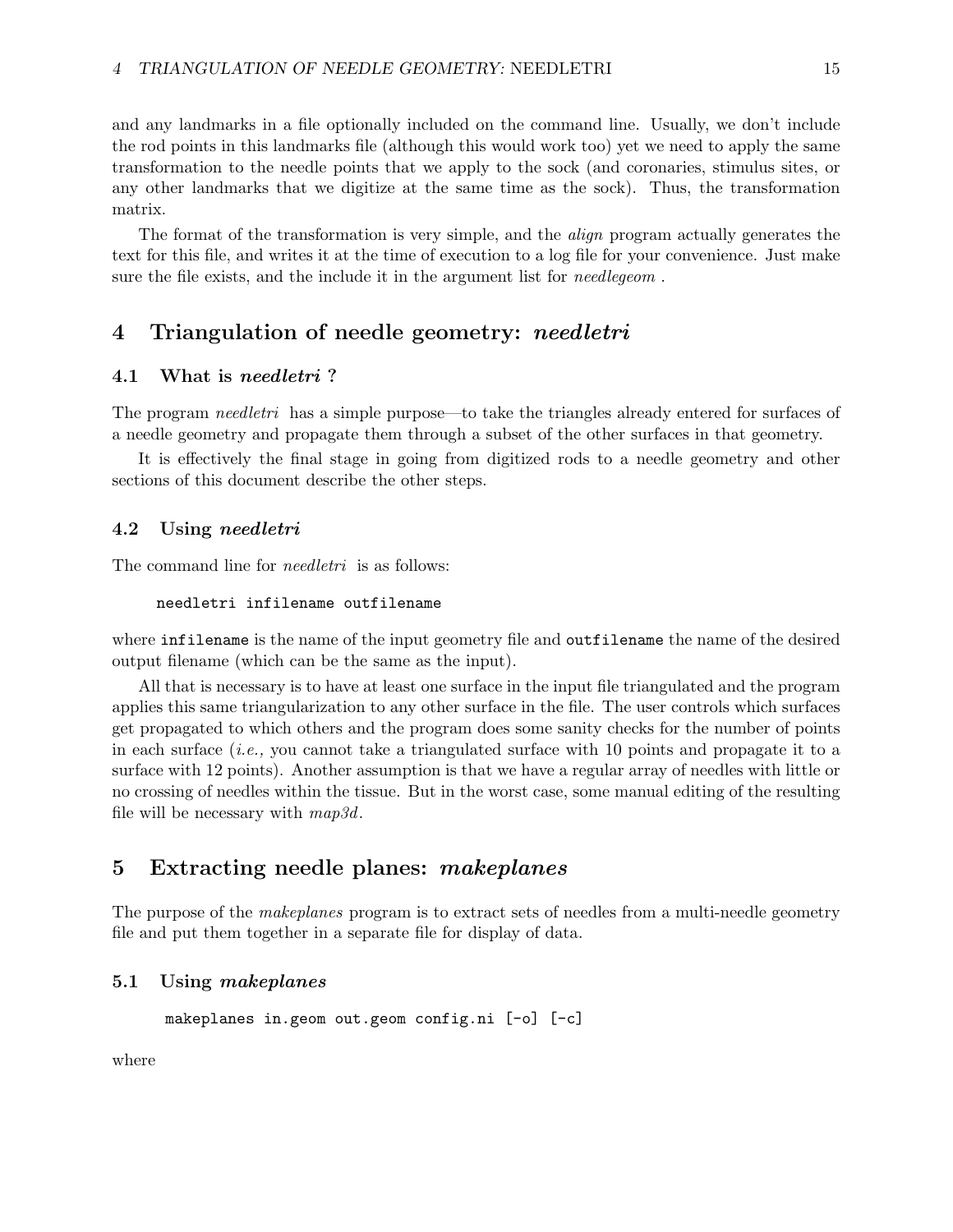and any landmarks in a file optionally included on the command line. Usually, we don't include the rod points in this landmarks file (although this would work too) yet we need to apply the same transformation to the needle points that we apply to the sock (and coronaries, stimulus sites, or any other landmarks that we digitize at the same time as the sock). Thus, the transformation matrix.

The format of the transformation is very simple, and the *align* program actually generates the text for this file, and writes it at the time of execution to a log file for your convenience. Just make sure the file exists, and the include it in the argument list for *needlegeom*.

## <span id="page-14-0"></span>4 Triangulation of needle geometry: *needletri*

## 4.1 What is needletri ?

The program *needletri* has a simple purpose—to take the triangles already entered for surfaces of a needle geometry and propagate them through a subset of the other surfaces in that geometry.

It is effectively the final stage in going from digitized rods to a needle geometry and other sections of this document describe the other steps.

### 4.2 Using needletri

The command line for *needletri* is as follows:

```
needletri infilename outfilename
```
where infilename is the name of the input geometry file and outfilename the name of the desired output filename (which can be the same as the input).

All that is necessary is to have at least one surface in the input file triangulated and the program applies this same triangularization to any other surface in the file. The user controls which surfaces get propagated to which others and the program does some sanity checks for the number of points in each surface (i.e., you cannot take a triangulated surface with 10 points and propagate it to a surface with 12 points). Another assumption is that we have a regular array of needles with little or no crossing of needles within the tissue. But in the worst case, some manual editing of the resulting file will be necessary with  $map3d$ .

## <span id="page-14-1"></span>5 Extracting needle planes: makeplanes

The purpose of the *makeplanes* program is to extract sets of needles from a multi-needle geometry file and put them together in a separate file for display of data.

### 5.1 Using makeplanes

```
makeplanes in.geom out.geom config.ni [-o] [-c]
```
where